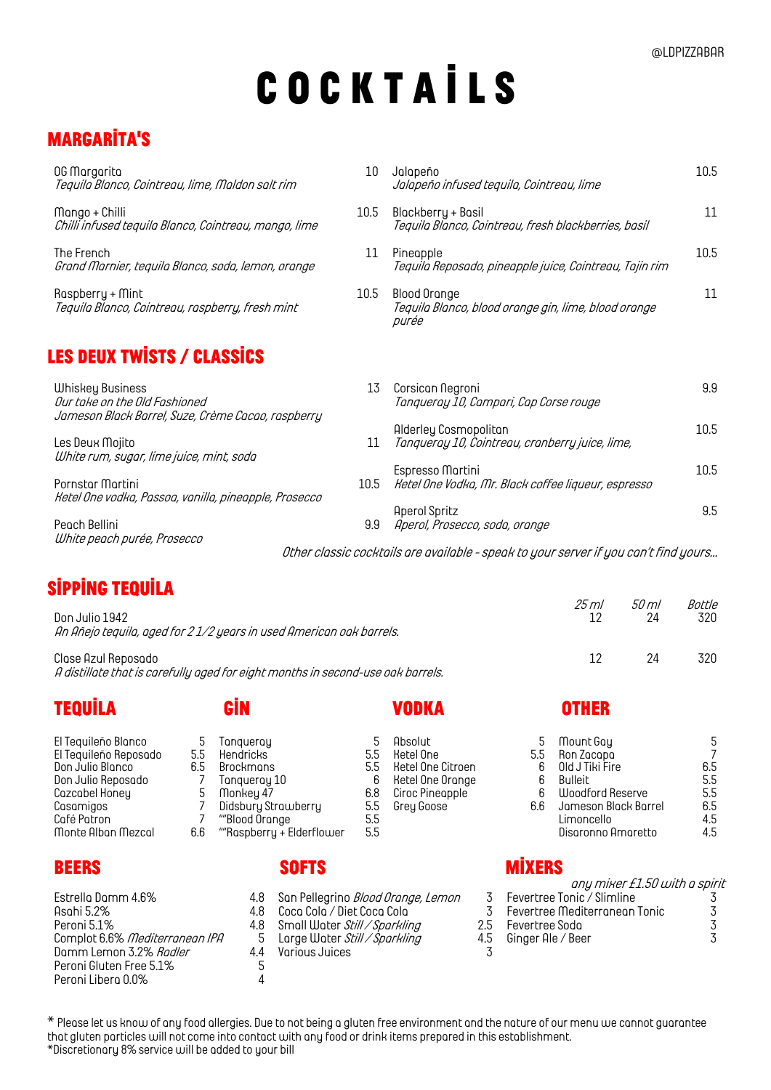# **C O C K T A I L S**

# **MARGARITA'S**

| 0G Morgorito<br>Tequila Blanco, Cointreau, lime, Maldon salt rim                                               | 10   | Jalapeño<br>Jalapeño infused tequila, Cointreau, lime                         | 10.5 |
|----------------------------------------------------------------------------------------------------------------|------|-------------------------------------------------------------------------------|------|
| Mango + Chilli<br>Chilli infused tequila Blanco, Cointreau, mango, lime                                        | 10.5 | Blockberry + Bosil<br>Teguilo Blonco, Cointreou, fresh blockberries, bosil    | 11   |
| The French<br>Grand Marnier, tequila Blanco, soda, lemon, orange                                               | 11   | Pineapple<br>Tequilo Reposodo, pineopple juice, Cointreou, Tojin rim          | 10.5 |
| Rospberry + Mint<br>Tequila Blanco, Cointreau, raspberry, fresh mint                                           | 10.5 | Blood Orange<br>Tequila Blanco, blood orange gin, lime, blood orange<br>purée | 11   |
| <b>LES DEUX TWISTS / CLASSICS</b>                                                                              |      |                                                                               |      |
| <b>Whiskey Business</b><br>Our take on the Old Fashioned<br>Jameson Black Barrel, Suze, Crème Cacao, raspberry | 13   | Corsican Negroni<br>Tangueray 10, Campari, Cap Corse rouge                    | 9.9  |
| Les Deux Mojito<br>White rum, sugar, lime juice, mint, soda                                                    | 11   | Alderley Cosmopoliton<br>Tanqueray 10, Cointreau, cranberry juice, lime,      | 10.5 |
| Pornstor Mortini<br>Ketel One vodka, Passoa, vanilla, pineapple, Prosecco                                      | 10.5 | Espresso Mortini<br>Ketel One Vodko, Mr. Block coffee liqueur, espresso       | 10.5 |
| Peach Bellini                                                                                                  | 9.9  | <b>Aperol Spritz</b><br>Aperol, Prosecco, soda, orange                        | 9.5  |

*Other classic cocktails are available - speak to your server if you can't find yours…*

# **Sipping tequila**

*White peach purée, Prosecco*

| Don Julio 1942                                                                                         | 25 ml | 50 ml | Bottle |
|--------------------------------------------------------------------------------------------------------|-------|-------|--------|
| An Añejo teguilo, aged for 21/2 years in used American oak barrels.                                    |       | 24    | 320.   |
| Clase Azul Reposado<br>A distillate that is carefully aged for eight months in second-use oak barrels. |       | 24    | 320.   |

### **Tequila Gin Vodka Other**

| El Tequileño Blanco   |
|-----------------------|
|                       |
| El Tequileño Reposodo |
| Don Julio Blanco      |
| Don Julio Reposado    |
| Cazcabel Honey        |
| Casamigos             |
| Café Patron           |
| Monte Albon Mezcol    |

| Estrella Damm 4.6%<br>Asahi 5.2%<br>Peroni 5.1%<br>Complot 6.6% Mediterranean IPA<br>Damm Lemon 3.2% Radler<br>Peroni Gluten Free 5.1% | 4.8<br>48<br>4.8<br>5<br>44<br>5 |
|----------------------------------------------------------------------------------------------------------------------------------------|----------------------------------|
|                                                                                                                                        |                                  |
| Peroni Libero 0.0%                                                                                                                     |                                  |
|                                                                                                                                        |                                  |

## **Beers Softs Mixers**

- *Estrella Damm 4.6% 4.8 San Pellegrino Blood Orange, Lemon 3 Fevertree Tonic / Slimline 3*
- *Asahi 5.2% 4.8 Coca Cola / Diet Coca Cola 3 Fevertree Mediterranean Tonic 3*

- *Peronia 1.8* Small Water *Still / Sparkling* 2.5<br>5 Large Water *Still / Sparkling* 4.5
- *Complot 6.6% Mediterranean IPA 5 Large Water Still / Sparkling 4.5 Ginger Ale / Beer 3*

*Damm Lemon 3.2% Radler 4.4 Various Juices 3*

| El Tequileño Blanco<br>El Tequileño Reposodo<br>Don Julio Blanco<br>Don Julio Reposado<br>Cazcabel Honey<br>Casamigos<br>Café Patron | 5.5<br>6.5 | Tangueray<br>Hendricks<br>Brockmans<br>Tangueray 10<br>Monkey 47<br>Didsbury Strawberry<br>""Blood Orange | 5.5<br>5.5<br>6<br>6.8<br>5.5<br>5.5 | Absolut<br>Ketel One<br>Ketel One Citroen<br>Ketel One Orange<br>Ciroc Pineopple<br>Grey Goose | 5.5<br>6<br>6<br>6.6 | Mount Goy<br>Ron Zacapa<br>Old J Tiki Fire<br>Bulleit<br>Woodford Reserve<br>Jameson Black Barrel<br>Limoncello | 6.5<br>5.5<br>5.5<br>6.5<br>4.5 |
|--------------------------------------------------------------------------------------------------------------------------------------|------------|-----------------------------------------------------------------------------------------------------------|--------------------------------------|------------------------------------------------------------------------------------------------|----------------------|-----------------------------------------------------------------------------------------------------------------|---------------------------------|
| Monte Alban Mezcal                                                                                                                   | 6.6        | ""Rospberry + Elderflower                                                                                 | 5.5                                  |                                                                                                |                      | Disgronno Amgretto                                                                                              | 4.5                             |

| any mixer £1.50 with a spirit |         |
|-------------------------------|---------|
| Fevertree Tonic / Slimline    |         |
| Fevertree Mediterroneon Tonic | $\cdot$ |
| Fevertree Sodo                | 3       |
| Ginger Ale / Beer             | 3       |
|                               |         |

*\* Please let us know of any food allergies. Due to not being a gluten free environment and the nature of our menu we cannot guarantee that gluten particles will not come into contact with any food or drink items prepared in this establishment. \*Discretionary 8% service will be added to your bill*